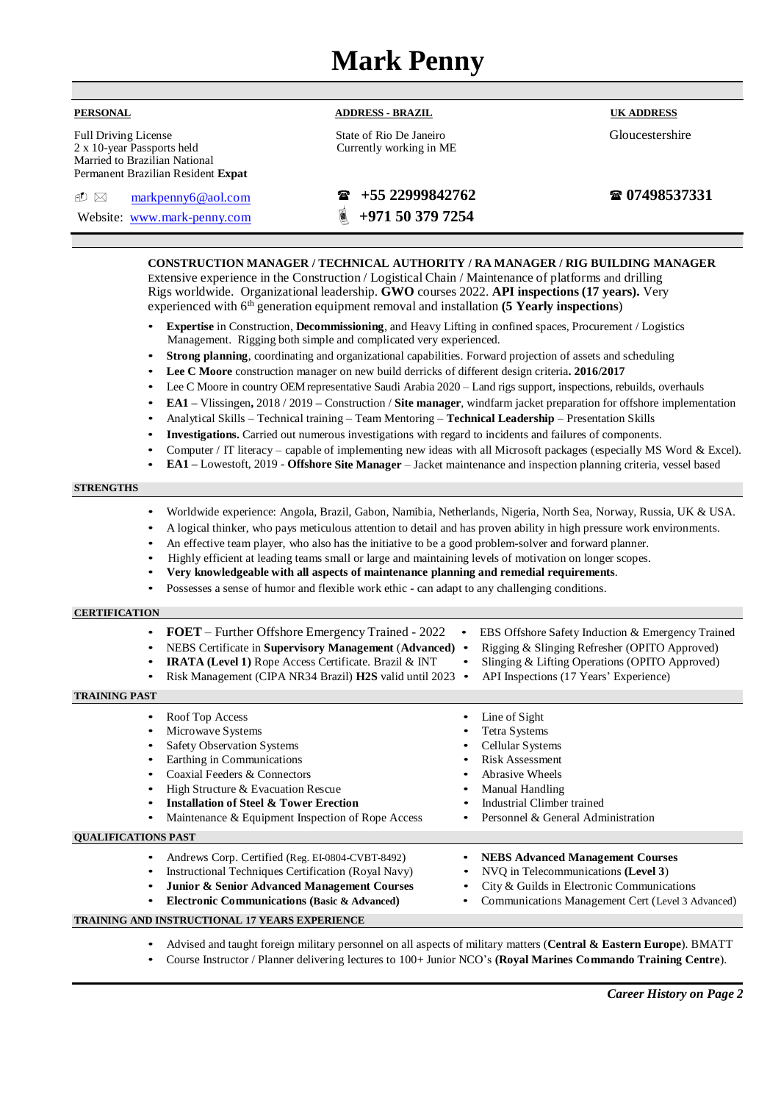# **Mark Penny**

| <b>PERSONAL</b> |  |  |
|-----------------|--|--|

**ADDRESS - BRAZIL**

State of Rio De Janeiro Currently working in ME **UK ADDRESS**

Gloucestershire

| <b>Full Driving License</b>        |                    |  |  |  |
|------------------------------------|--------------------|--|--|--|
| 2 x 10-year Passports held         |                    |  |  |  |
| Married to Brazilian National      |                    |  |  |  |
| Permanent Brazilian Resident Expat |                    |  |  |  |
|                                    |                    |  |  |  |
| ଣୀ ∖ମ                              | marknanny6@gol.com |  |  |  |

Website: [www.mark-penny.com](http://www.mark-penny.com/) **1971 50 379 7254** 

[markpenny6@aol.com](mailto:markpenny6@aol.com) **+55 22999842762**

**07498537331**

**CONSTRUCTION MANAGER / TECHNICAL AUTHORITY / RA MANAGER / RIG BUILDING MANAGER** Extensive experience in the Construction / Logistical Chain / Maintenance of platforms and drilling Rigs worldwide. Organizational leadership. **GWO** courses 2022. **API inspections (17 years).** Very experienced with 6 th generation equipment removal and installation **(5 Yearly inspections**)

- **Expertise** in Construction, **Decommissioning**, and Heavy Lifting in confined spaces, Procurement / Logistics Management. Rigging both simple and complicated very experienced.
- **Strong planning**, coordinating and organizational capabilities. Forward projection of assets and scheduling
- **Lee C Moore** construction manager on new build derricks of different design criteria**. 2016/2017**
- Lee C Moore in country OEM representative Saudi Arabia 2020 Land rigs support, inspections, rebuilds, overhauls
- **EA1 –** Vlissingen**,** 2018 / 2019 **–** Construction / **Site manager**, windfarm jacket preparation for offshore implementation
- Analytical Skills Technical training Team Mentoring **Technical Leadership** Presentation Skills
- **Investigations.** Carried out numerous investigations with regard to incidents and failures of components.
- Computer / IT literacy capable of implementing new ideas with all Microsoft packages (especially MS Word & Excel).
- **EA1 –** Lowestoft, 2019 **Offshore Site Manager**  Jacket maintenance and inspection planning criteria, vessel based

## **STRENGTHS**

- Worldwide experience: Angola, Brazil, Gabon, Namibia, Netherlands, Nigeria, North Sea, Norway, Russia, UK & USA.
- A logical thinker, who pays meticulous attention to detail and has proven ability in high pressure work environments.
- An effective team player, who also has the initiative to be a good problem-solver and forward planner.
- Highly efficient at leading teams small or large and maintaining levels of motivation on longer scopes.
- **Very knowledgeable with all aspects of maintenance planning and remedial requirements**.
- Possesses a sense of humor and flexible work ethic can adapt to any challenging conditions.

## **CERTIFICATION**

- **FOET** Further Offshore Emergency Trained 2022 EBS Offshore Safety Induction & Emergency Trained
- NEBS Certificate in **Supervisory Management** (**Advanced)**  Rigging & Slinging Refresher (OPITO Approved)
- **IRATA (Level 1)** Rope Access Certificate. Brazil & INT Slinging & Lifting Operations (OPITO Approved)
- Risk Management (CIPA NR34 Brazil) **H2S** valid until 2023 API Inspections (17 Years' Experience)

## **TRAINING PAST**

| $\bullet$<br>$\bullet$<br>$\bullet$<br>$\bullet$<br>$\bullet$ | Roof Top Access<br>Microwave Systems<br><b>Safety Observation Systems</b><br>Earthing in Communications<br>Coaxial Feeders & Connectors<br>High Structure & Evacuation Rescue<br><b>Installation of Steel &amp; Tower Erection</b><br>Maintenance & Equipment Inspection of Rope Access |  | Line of Sight<br>Tetra Systems<br>Cellular Systems<br><b>Risk Assessment</b><br><b>Abrasive Wheels</b><br>Manual Handling<br>Industrial Climber trained<br>Personnel & General Administration |  |
|---------------------------------------------------------------|-----------------------------------------------------------------------------------------------------------------------------------------------------------------------------------------------------------------------------------------------------------------------------------------|--|-----------------------------------------------------------------------------------------------------------------------------------------------------------------------------------------------|--|
| <b>OUALIFICATIONS PAST</b>                                    |                                                                                                                                                                                                                                                                                         |  |                                                                                                                                                                                               |  |
| $\bullet$<br>$\bullet$<br>$\bullet$                           | Andrews Corp. Certified (Reg. EI-0804-CVBT-8492)<br>Instructional Techniques Certification (Royal Navy)<br><b>Junior &amp; Senior Advanced Management Courses</b><br><b>Electronic Communications (Basic &amp; Advanced)</b>                                                            |  | <b>NEBS Advanced Management Courses</b><br>NVO in Telecommunications (Level 3)<br>City & Guilds in Electronic Communications<br>Communications Management Cert (Level 3 Advanced)             |  |
| <b>TRAINING AND INSTRUCTIONAL 17 YEARS EXPERIENCE</b>         |                                                                                                                                                                                                                                                                                         |  |                                                                                                                                                                                               |  |

• Advised and taught foreign military personnel on all aspects of military matters (**Central & Eastern Europe**). BMATT

• Course Instructor / Planner delivering lectures to 100+ Junior NCO's **(Royal Marines Commando Training Centre**).